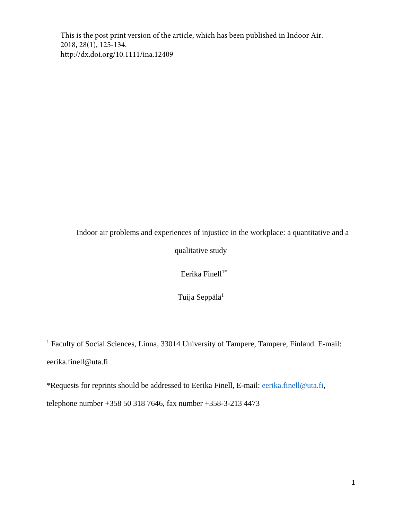This is the post print version of the article, which has been published in Indoor Air. 2018, 28(1), 125-134. http://dx.doi.org/10.1111/ina.12409

Indoor air problems and experiences of injustice in the workplace: a quantitative and a qualitative study

Eerika Finell $1^*$ 

Tuija Seppälä<sup>1</sup>

<sup>1</sup> Faculty of Social Sciences, Linna, 33014 University of Tampere, Tampere, Finland. E-mail: eerika.finell@uta.fi

\*Requests for reprints should be addressed to Eerika Finell, E-mail: [eerika.finell@uta.fi,](mailto:eerika.finell@uta.fi) telephone number +358 50 318 7646, fax number +358-3-213 4473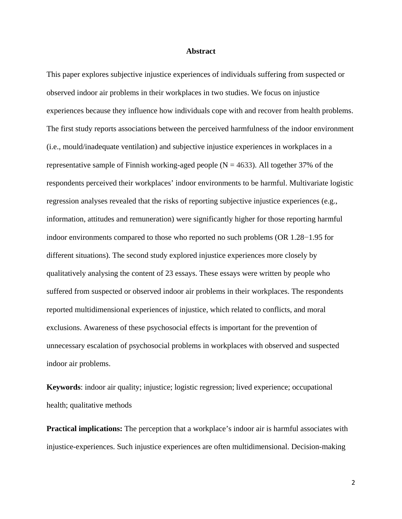#### **Abstract**

This paper explores subjective injustice experiences of individuals suffering from suspected or observed indoor air problems in their workplaces in two studies. We focus on injustice experiences because they influence how individuals cope with and recover from health problems. The first study reports associations between the perceived harmfulness of the indoor environment (i.e., mould/inadequate ventilation) and subjective injustice experiences in workplaces in a representative sample of Finnish working-aged people ( $N = 4633$ ). All together 37% of the respondents perceived their workplaces' indoor environments to be harmful. Multivariate logistic regression analyses revealed that the risks of reporting subjective injustice experiences (e.g., information, attitudes and remuneration) were significantly higher for those reporting harmful indoor environments compared to those who reported no such problems (OR 1.28−1.95 for different situations). The second study explored injustice experiences more closely by qualitatively analysing the content of 23 essays. These essays were written by people who suffered from suspected or observed indoor air problems in their workplaces. The respondents reported multidimensional experiences of injustice, which related to conflicts, and moral exclusions. Awareness of these psychosocial effects is important for the prevention of unnecessary escalation of psychosocial problems in workplaces with observed and suspected indoor air problems.

**Keywords**: indoor air quality; injustice; logistic regression; lived experience; occupational health; qualitative methods

**Practical implications:** The perception that a workplace's indoor air is harmful associates with injustice-experiences. Such injustice experiences are often multidimensional. Decision-making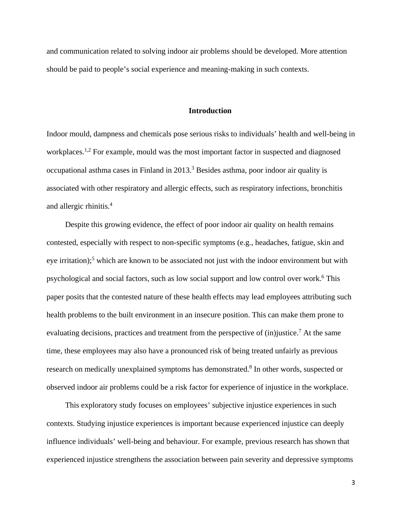and communication related to solving indoor air problems should be developed. More attention should be paid to people's social experience and meaning-making in such contexts.

#### **Introduction**

Indoor mould, dampness and chemicals pose serious risks to individuals' health and well-being in workplaces.<sup>1,2</sup> For example, mould was the most important factor in suspected and diagnosed occupational asthma cases in Finland in 2013. <sup>3</sup> Besides asthma, poor indoor air quality is associated with other respiratory and allergic effects, such as respiratory infections, bronchitis and allergic rhinitis. 4

Despite this growing evidence, the effect of poor indoor air quality on health remains contested, especially with respect to non-specific symptoms (e.g., headaches, fatigue, skin and eye irritation);<sup>5</sup> which are known to be associated not just with the indoor environment but with psychological and social factors, such as low social support and low control over work. <sup>6</sup> This paper posits that the contested nature of these health effects may lead employees attributing such health problems to the built environment in an insecure position. This can make them prone to evaluating decisions, practices and treatment from the perspective of (in)justice.<sup>7</sup> At the same time, these employees may also have a pronounced risk of being treated unfairly as previous research on medically unexplained symptoms has demonstrated.<sup>8</sup> In other words, suspected or observed indoor air problems could be a risk factor for experience of injustice in the workplace.

This exploratory study focuses on employees' subjective injustice experiences in such contexts. Studying injustice experiences is important because experienced injustice can deeply influence individuals' well-being and behaviour. For example, previous research has shown that experienced injustice strengthens the association between pain severity and depressive symptoms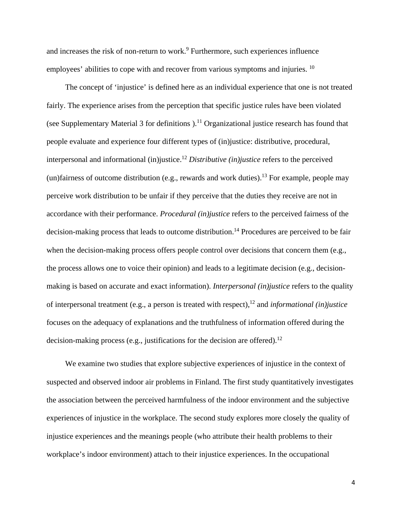and increases the risk of non-return to work. <sup>9</sup> Furthermore, such experiences influence employees' abilities to cope with and recover from various symptoms and injuries. <sup>10</sup>

The concept of 'injustice' is defined here as an individual experience that one is not treated fairly. The experience arises from the perception that specific justice rules have been violated (see Supplementary Material 3 for definitions  $1^{11}$  Organizational justice research has found that people evaluate and experience four different types of (in)justice: distributive, procedural, interpersonal and informational (in)justice. <sup>12</sup> *Distributive (in)justice* refers to the perceived (un)fairness of outcome distribution (e.g., rewards and work duties).<sup>13</sup> For example, people may perceive work distribution to be unfair if they perceive that the duties they receive are not in accordance with their performance. *Procedural (in)justice* refers to the perceived fairness of the decision-making process that leads to outcome distribution. <sup>14</sup> Procedures are perceived to be fair when the decision-making process offers people control over decisions that concern them (e.g., the process allows one to voice their opinion) and leads to a legitimate decision (e.g., decisionmaking is based on accurate and exact information). *Interpersonal (in)justice* refers to the quality of interpersonal treatment (e.g., a person is treated with respect),12 and *informational (in)justice*  focuses on the adequacy of explanations and the truthfulness of information offered during the decision-making process (e.g., justifications for the decision are offered).<sup>12</sup>

We examine two studies that explore subjective experiences of injustice in the context of suspected and observed indoor air problems in Finland. The first study quantitatively investigates the association between the perceived harmfulness of the indoor environment and the subjective experiences of injustice in the workplace. The second study explores more closely the quality of injustice experiences and the meanings people (who attribute their health problems to their workplace's indoor environment) attach to their injustice experiences. In the occupational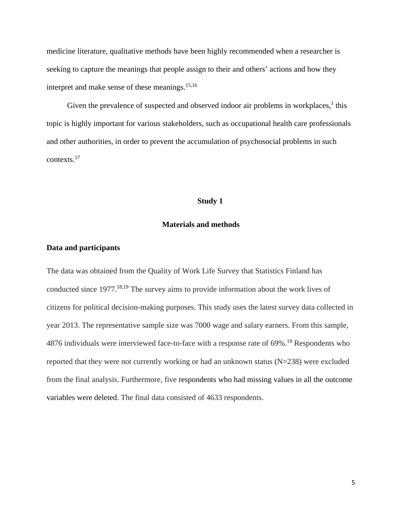medicine literature, qualitative methods have been highly recommended when a researcher is seeking to capture the meanings that people assign to their and others' actions and how they interpret and make sense of these meanings. 15,16

Given the prevalence of suspected and observed indoor air problems in workplaces,<sup>1</sup> this topic is highly important for various stakeholders, such as occupational health care professionals and other authorities, in order to prevent the accumulation of psychosocial problems in such contexts. 17

#### **Study 1**

# **Materials and methods**

#### **Data and participants**

The data was obtained from the Quality of Work Life Survey that Statistics Finland has conducted since 1977. 18,19 The survey aims to provide information about the work lives of citizens for political decision-making purposes. This study uses the latest survey data collected in year 2013. The representative sample size was 7000 wage and salary earners. From this sample, 4876 individuals were interviewed face-to-face with a response rate of 69%.<sup>19</sup> Respondents who reported that they were not currently working or had an unknown status  $(N=238)$  were excluded from the final analysis. Furthermore, five respondents who had missing values in all the outcome variables were deleted. The final data consisted of 4633 respondents.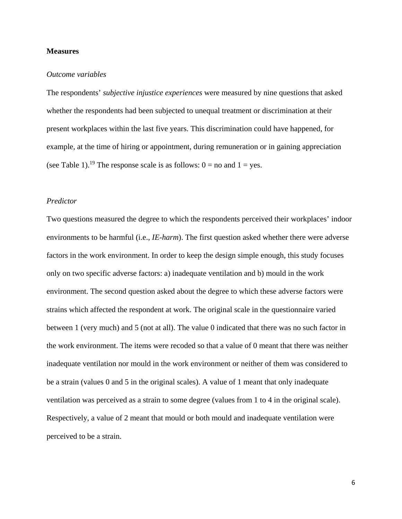## **Measures**

#### *Outcome variables*

The respondents' *subjective injustice experiences* were measured by nine questions that asked whether the respondents had been subjected to unequal treatment or discrimination at their present workplaces within the last five years. This discrimination could have happened, for example, at the time of hiring or appointment, during remuneration or in gaining appreciation (see Table 1).<sup>19</sup> The response scale is as follows:  $0 =$  no and  $1 =$  yes.

# *Predictor*

Two questions measured the degree to which the respondents perceived their workplaces' indoor environments to be harmful (i.e., *IE-harm*). The first question asked whether there were adverse factors in the work environment. In order to keep the design simple enough, this study focuses only on two specific adverse factors: a) inadequate ventilation and b) mould in the work environment. The second question asked about the degree to which these adverse factors were strains which affected the respondent at work. The original scale in the questionnaire varied between 1 (very much) and 5 (not at all). The value 0 indicated that there was no such factor in the work environment. The items were recoded so that a value of 0 meant that there was neither inadequate ventilation nor mould in the work environment or neither of them was considered to be a strain (values 0 and 5 in the original scales). A value of 1 meant that only inadequate ventilation was perceived as a strain to some degree (values from 1 to 4 in the original scale). Respectively, a value of 2 meant that mould or both mould and inadequate ventilation were perceived to be a strain.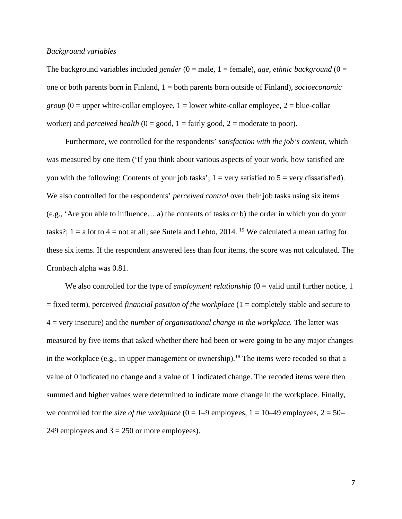## *Background variables*

The background variables included *gender*  $(0 = male, 1 = female)$ , *age*, *ethnic background*  $(0 =$ one or both parents born in Finland, 1 = both parents born outside of Finland), *socioeconomic group*  $(0 =$  upper white-collar employee,  $1 =$  lower white-collar employee,  $2 =$  blue-collar worker) and *perceived health*  $(0 = good, 1 = fairly good, 2 = moderate to poor)$ .

Furthermore, we controlled for the respondents' *satisfaction with the job's content*, which was measured by one item ('If you think about various aspects of your work, how satisfied are you with the following: Contents of your job tasks';  $1 = \text{very satisfied}$  to  $5 = \text{very dissatisfied}$ ). We also controlled for the respondents' *perceived control* over their job tasks using six items (e.g., 'Are you able to influence… a) the contents of tasks or b) the order in which you do your tasks?;  $1 = a$  lot to  $4 =$  not at all; see Sutela and Lehto, 2014. <sup>19</sup> We calculated a mean rating for these six items. If the respondent answered less than four items, the score was not calculated. The Cronbach alpha was 0.81.

We also controlled for the type of *employment relationship*  $(0 =$  valid until further notice, 1 = fixed term), perceived *financial position of the workplace* (1 = completely stable and secure to 4 = very insecure) and the *number of organisational change in the workplace.* The latter was measured by five items that asked whether there had been or were going to be any major changes in the workplace (e.g., in upper management or ownership).<sup>18</sup> The items were recoded so that a value of 0 indicated no change and a value of 1 indicated change. The recoded items were then summed and higher values were determined to indicate more change in the workplace. Finally, we controlled for the *size of the workplace*  $(0 = 1 - 9$  employees,  $1 = 10 - 49$  employees,  $2 = 50 - 19$ 249 employees and  $3 = 250$  or more employees).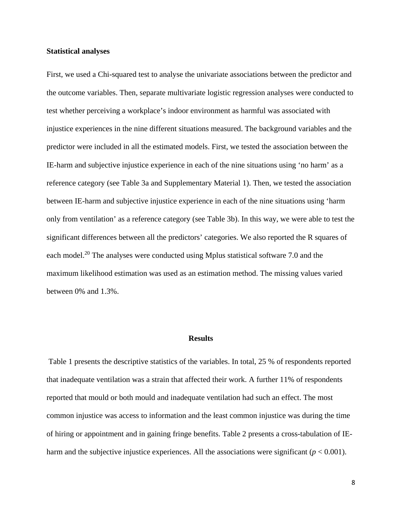#### **Statistical analyses**

First, we used a Chi-squared test to analyse the univariate associations between the predictor and the outcome variables. Then, separate multivariate logistic regression analyses were conducted to test whether perceiving a workplace's indoor environment as harmful was associated with injustice experiences in the nine different situations measured. The background variables and the predictor were included in all the estimated models. First, we tested the association between the IE-harm and subjective injustice experience in each of the nine situations using 'no harm' as a reference category (see Table 3a and Supplementary Material 1). Then, we tested the association between IE-harm and subjective injustice experience in each of the nine situations using 'harm only from ventilation' as a reference category (see Table 3b). In this way, we were able to test the significant differences between all the predictors' categories. We also reported the R squares of each model.<sup>20</sup> The analyses were conducted using Mplus statistical software 7.0 and the maximum likelihood estimation was used as an estimation method. The missing values varied between 0% and 1.3%.

#### **Results**

Table 1 presents the descriptive statistics of the variables. In total, 25 % of respondents reported that inadequate ventilation was a strain that affected their work. A further 11% of respondents reported that mould or both mould and inadequate ventilation had such an effect. The most common injustice was access to information and the least common injustice was during the time of hiring or appointment and in gaining fringe benefits. Table 2 presents a cross-tabulation of IEharm and the subjective injustice experiences. All the associations were significant  $(p < 0.001)$ .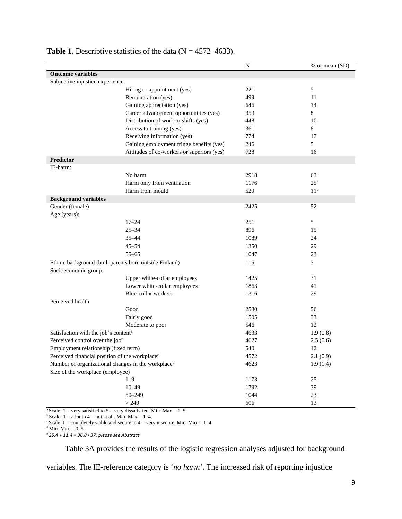|                                                            |                                                                | N    | % or mean (SD)  |
|------------------------------------------------------------|----------------------------------------------------------------|------|-----------------|
| <b>Outcome variables</b>                                   |                                                                |      |                 |
| Subjective injustice experience                            |                                                                |      |                 |
|                                                            | Hiring or appointment (yes)                                    | 221  | 5               |
|                                                            | Remuneration (yes)                                             | 499  | 11              |
|                                                            | Gaining appreciation (yes)                                     | 646  | 14              |
|                                                            | Career advancement opportunities (yes)                         | 353  | 8               |
|                                                            | Distribution of work or shifts (yes)                           | 448  | 10              |
|                                                            | Access to training (yes)                                       | 361  | 8               |
|                                                            | Receiving information (yes)                                    | 774  | 17              |
|                                                            | Gaining employment fringe benefits (yes)                       | 246  | 5               |
|                                                            | Attitudes of co-workers or superiors (yes)                     | 728  | 16              |
| <b>Predictor</b>                                           |                                                                |      |                 |
| IE-harm:                                                   |                                                                |      |                 |
|                                                            | No harm                                                        | 2918 | 63              |
|                                                            | Harm only from ventilation                                     | 1176 | $25^{\circ}$    |
|                                                            | Harm from mould                                                | 529  | 11 <sup>e</sup> |
| <b>Background variables</b>                                |                                                                |      |                 |
| Gender (female)                                            |                                                                | 2425 | 52              |
| Age (years):                                               |                                                                |      |                 |
|                                                            | $17 - 24$                                                      | 251  | 5               |
|                                                            | $25 - 34$                                                      | 896  | 19              |
|                                                            | $35 - 44$                                                      | 1089 | 24              |
|                                                            | $45 - 54$                                                      | 1350 | 29              |
|                                                            | $55 - 65$                                                      | 1047 | 23              |
|                                                            | Ethnic background (both parents born outside Finland)          | 115  | 3               |
| Socioeconomic group:                                       |                                                                |      |                 |
|                                                            | Upper white-collar employees                                   | 1425 | 31              |
|                                                            | Lower white-collar employees                                   | 1863 | 41              |
|                                                            | Blue-collar workers                                            | 1316 | 29              |
| Perceived health:                                          |                                                                |      |                 |
|                                                            | Good                                                           | 2580 | 56              |
|                                                            | Fairly good                                                    | 1505 | 33              |
|                                                            | Moderate to poor                                               | 546  | 12              |
| Satisfaction with the job's content <sup>a</sup>           |                                                                | 4633 | 1.9(0.8)        |
| Perceived control over the jobb                            |                                                                | 4627 | 2.5(0.6)        |
| Employment relationship (fixed term)                       |                                                                | 540  | 12              |
| Perceived financial position of the workplace <sup>c</sup> |                                                                | 4572 | 2.1(0.9)        |
|                                                            | Number of organizational changes in the workplace <sup>d</sup> | 4623 | 1.9(1.4)        |
| Size of the workplace (employee)                           |                                                                |      |                 |
|                                                            | $1 - 9$                                                        | 1173 | 25              |
|                                                            | $10 - 49$                                                      | 1792 | 39              |
|                                                            | $50 - 249$                                                     | 1044 | 23              |
|                                                            | > 249                                                          | 606  | 13              |

# **Table 1.** Descriptive statistics of the data  $(N = 4572 - 4633)$ .

<sup>a</sup> Scale: 1 = very satisfied to 5 = very dissatisfied. Min–Max = 1–5.

<sup>b</sup> Scale: 1 = a lot to 4 = not at all. Min–Max = 1–4.

 $\textdegree$  Scale: 1 = completely stable and secure to 4 = very insecure. Min–Max = 1–4.

 $d$  Min–Max = 0–5.

<sup>e</sup>*25.4 + 11.4 = 36.8 ≈37, please see Abstract*

Table 3A provides the results of the logistic regression analyses adjusted for background

variables. The IE-reference category is '*no harm'*. The increased risk of reporting injustice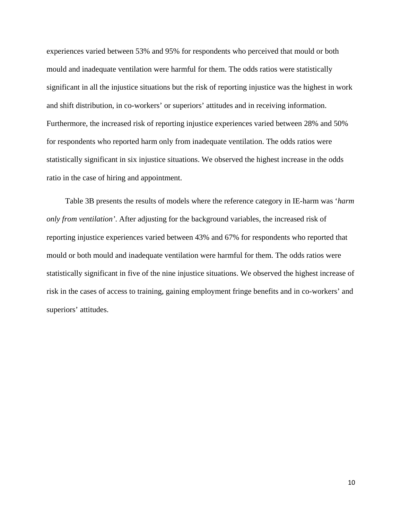experiences varied between 53% and 95% for respondents who perceived that mould or both mould and inadequate ventilation were harmful for them. The odds ratios were statistically significant in all the injustice situations but the risk of reporting injustice was the highest in work and shift distribution, in co-workers' or superiors' attitudes and in receiving information. Furthermore, the increased risk of reporting injustice experiences varied between 28% and 50% for respondents who reported harm only from inadequate ventilation. The odds ratios were statistically significant in six injustice situations. We observed the highest increase in the odds ratio in the case of hiring and appointment.

Table 3B presents the results of models where the reference category in IE-harm was '*harm only from ventilation'*. After adjusting for the background variables, the increased risk of reporting injustice experiences varied between 43% and 67% for respondents who reported that mould or both mould and inadequate ventilation were harmful for them. The odds ratios were statistically significant in five of the nine injustice situations. We observed the highest increase of risk in the cases of access to training, gaining employment fringe benefits and in co-workers' and superiors' attitudes.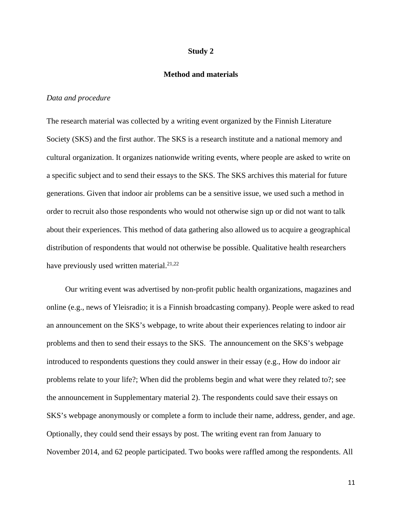#### **Study 2**

## **Method and materials**

# *Data and procedure*

The research material was collected by a writing event organized by the Finnish Literature Society (SKS) and the first author. The SKS is a research institute and a national memory and cultural organization. It organizes nationwide writing events, where people are asked to write on a specific subject and to send their essays to the SKS. The SKS archives this material for future generations. Given that indoor air problems can be a sensitive issue, we used such a method in order to recruit also those respondents who would not otherwise sign up or did not want to talk about their experiences. This method of data gathering also allowed us to acquire a geographical distribution of respondents that would not otherwise be possible. Qualitative health researchers have previously used written material.<sup>21,22</sup>

Our writing event was advertised by non-profit public health organizations, magazines and online (e.g., news of Yleisradio; it is a Finnish broadcasting company). People were asked to read an announcement on the SKS's webpage, to write about their experiences relating to indoor air problems and then to send their essays to the SKS. The announcement on the SKS's webpage introduced to respondents questions they could answer in their essay (e.g., How do indoor air problems relate to your life?; When did the problems begin and what were they related to?; see the announcement in Supplementary material 2). The respondents could save their essays on SKS's webpage anonymously or complete a form to include their name, address, gender, and age. Optionally, they could send their essays by post. The writing event ran from January to November 2014, and 62 people participated. Two books were raffled among the respondents. All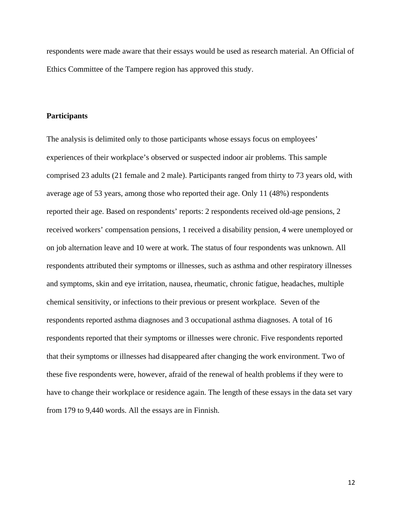respondents were made aware that their essays would be used as research material. An Official of Ethics Committee of the Tampere region has approved this study.

# **Participants**

The analysis is delimited only to those participants whose essays focus on employees' experiences of their workplace's observed or suspected indoor air problems. This sample comprised 23 adults (21 female and 2 male). Participants ranged from thirty to 73 years old, with average age of 53 years, among those who reported their age. Only 11 (48%) respondents reported their age. Based on respondents' reports: 2 respondents received old-age pensions, 2 received workers' compensation pensions, 1 received a disability pension, 4 were unemployed or on job alternation leave and 10 were at work. The status of four respondents was unknown. All respondents attributed their symptoms or illnesses, such as asthma and other respiratory illnesses and symptoms, skin and eye irritation, nausea, rheumatic, chronic fatigue, headaches, multiple chemical sensitivity, or infections to their previous or present workplace. Seven of the respondents reported asthma diagnoses and 3 occupational asthma diagnoses. A total of 16 respondents reported that their symptoms or illnesses were chronic. Five respondents reported that their symptoms or illnesses had disappeared after changing the work environment. Two of these five respondents were, however, afraid of the renewal of health problems if they were to have to change their workplace or residence again. The length of these essays in the data set vary from 179 to 9,440 words. All the essays are in Finnish.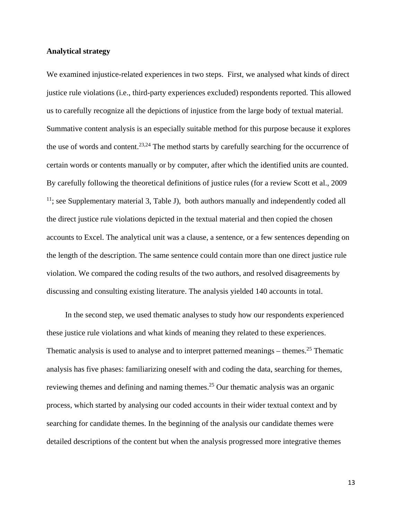# **Analytical strategy**

We examined injustice-related experiences in two steps. First, we analysed what kinds of direct justice rule violations (i.e., third-party experiences excluded) respondents reported. This allowed us to carefully recognize all the depictions of injustice from the large body of textual material. Summative content analysis is an especially suitable method for this purpose because it explores the use of words and content.<sup>23,24</sup> The method starts by carefully searching for the occurrence of certain words or contents manually or by computer, after which the identified units are counted. By carefully following the theoretical definitions of justice rules (for a review Scott et al., 2009  $11$ ; see Supplementary material 3, Table J), both authors manually and independently coded all the direct justice rule violations depicted in the textual material and then copied the chosen accounts to Excel. The analytical unit was a clause, a sentence, or a few sentences depending on the length of the description. The same sentence could contain more than one direct justice rule violation. We compared the coding results of the two authors, and resolved disagreements by discussing and consulting existing literature. The analysis yielded 140 accounts in total.

In the second step, we used thematic analyses to study how our respondents experienced these justice rule violations and what kinds of meaning they related to these experiences. Thematic analysis is used to analyse and to interpret patterned meanings – themes.<sup>25</sup> Thematic analysis has five phases: familiarizing oneself with and coding the data, searching for themes, reviewing themes and defining and naming themes.<sup>25</sup> Our thematic analysis was an organic process, which started by analysing our coded accounts in their wider textual context and by searching for candidate themes. In the beginning of the analysis our candidate themes were detailed descriptions of the content but when the analysis progressed more integrative themes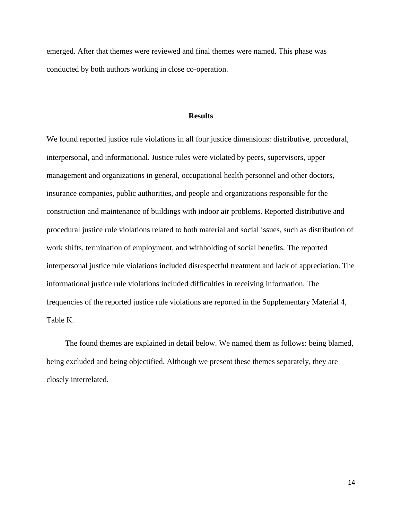emerged. After that themes were reviewed and final themes were named. This phase was conducted by both authors working in close co-operation.

## **Results**

We found reported justice rule violations in all four justice dimensions: distributive, procedural, interpersonal, and informational. Justice rules were violated by peers, supervisors, upper management and organizations in general, occupational health personnel and other doctors, insurance companies, public authorities, and people and organizations responsible for the construction and maintenance of buildings with indoor air problems. Reported distributive and procedural justice rule violations related to both material and social issues, such as distribution of work shifts, termination of employment, and withholding of social benefits. The reported interpersonal justice rule violations included disrespectful treatment and lack of appreciation. The informational justice rule violations included difficulties in receiving information. The frequencies of the reported justice rule violations are reported in the Supplementary Material 4, Table K.

The found themes are explained in detail below. We named them as follows: being blamed, being excluded and being objectified. Although we present these themes separately, they are closely interrelated.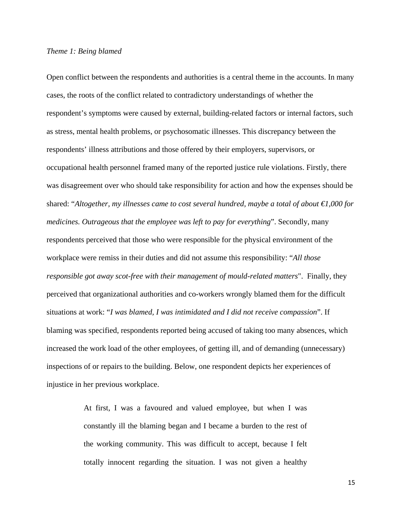# *Theme 1: Being blamed*

Open conflict between the respondents and authorities is a central theme in the accounts. In many cases, the roots of the conflict related to contradictory understandings of whether the respondent's symptoms were caused by external, building-related factors or internal factors, such as stress, mental health problems, or psychosomatic illnesses. This discrepancy between the respondents' illness attributions and those offered by their employers, supervisors, or occupational health personnel framed many of the reported justice rule violations. Firstly, there was disagreement over who should take responsibility for action and how the expenses should be shared: "*Altogether, my illnesses came to cost several hundred, maybe a total of about €1,000 for medicines. Outrageous that the employee was left to pay for everything*". Secondly, many respondents perceived that those who were responsible for the physical environment of the workplace were remiss in their duties and did not assume this responsibility: "*All those responsible got away scot-free with their management of mould-related matters*". Finally, they perceived that organizational authorities and co-workers wrongly blamed them for the difficult situations at work: "*I was blamed, I was intimidated and I did not receive compassion*". If blaming was specified, respondents reported being accused of taking too many absences, which increased the work load of the other employees, of getting ill, and of demanding (unnecessary) inspections of or repairs to the building. Below, one respondent depicts her experiences of injustice in her previous workplace.

> At first, I was a favoured and valued employee, but when I was constantly ill the blaming began and I became a burden to the rest of the working community. This was difficult to accept, because I felt totally innocent regarding the situation. I was not given a healthy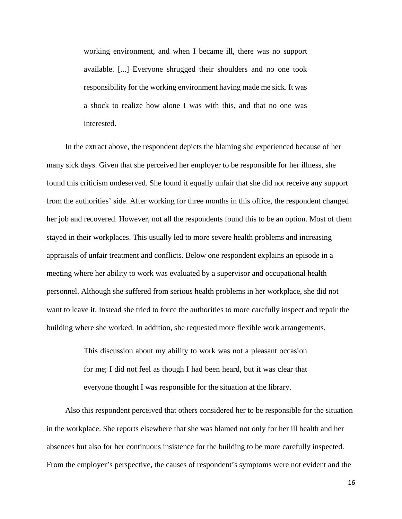working environment, and when I became ill, there was no support available. [...] Everyone shrugged their shoulders and no one took responsibility for the working environment having made me sick. It was a shock to realize how alone I was with this, and that no one was interested.

In the extract above, the respondent depicts the blaming she experienced because of her many sick days. Given that she perceived her employer to be responsible for her illness, she found this criticism undeserved. She found it equally unfair that she did not receive any support from the authorities' side. After working for three months in this office, the respondent changed her job and recovered. However, not all the respondents found this to be an option. Most of them stayed in their workplaces. This usually led to more severe health problems and increasing appraisals of unfair treatment and conflicts. Below one respondent explains an episode in a meeting where her ability to work was evaluated by a supervisor and occupational health personnel. Although she suffered from serious health problems in her workplace, she did not want to leave it. Instead she tried to force the authorities to more carefully inspect and repair the building where she worked. In addition, she requested more flexible work arrangements.

> This discussion about my ability to work was not a pleasant occasion for me; I did not feel as though I had been heard, but it was clear that everyone thought I was responsible for the situation at the library.

Also this respondent perceived that others considered her to be responsible for the situation in the workplace. She reports elsewhere that she was blamed not only for her ill health and her absences but also for her continuous insistence for the building to be more carefully inspected. From the employer's perspective, the causes of respondent's symptoms were not evident and the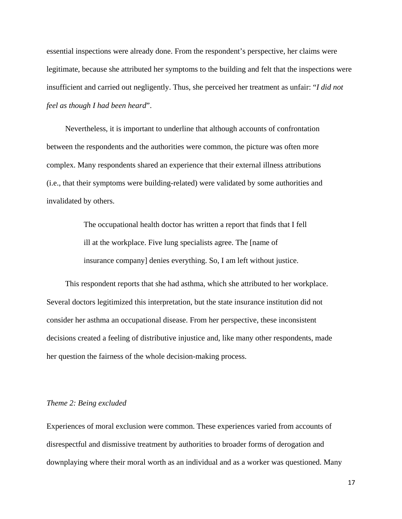essential inspections were already done. From the respondent's perspective, her claims were legitimate, because she attributed her symptoms to the building and felt that the inspections were insufficient and carried out negligently. Thus, she perceived her treatment as unfair: "*I did not feel as though I had been heard*".

Nevertheless, it is important to underline that although accounts of confrontation between the respondents and the authorities were common, the picture was often more complex. Many respondents shared an experience that their external illness attributions (i.e., that their symptoms were building-related) were validated by some authorities and invalidated by others.

> The occupational health doctor has written a report that finds that I fell ill at the workplace. Five lung specialists agree. The [name of insurance company] denies everything. So, I am left without justice.

This respondent reports that she had asthma, which she attributed to her workplace. Several doctors legitimized this interpretation, but the state insurance institution did not consider her asthma an occupational disease. From her perspective, these inconsistent decisions created a feeling of distributive injustice and, like many other respondents, made her question the fairness of the whole decision-making process.

#### *Theme 2: Being excluded*

Experiences of moral exclusion were common. These experiences varied from accounts of disrespectful and dismissive treatment by authorities to broader forms of derogation and downplaying where their moral worth as an individual and as a worker was questioned. Many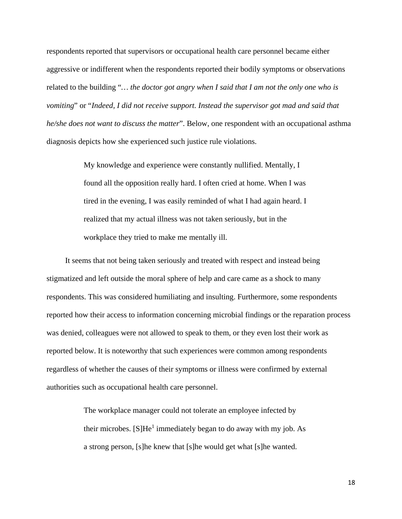respondents reported that supervisors or occupational health care personnel became either aggressive or indifferent when the respondents reported their bodily symptoms or observations related to the building "*… the doctor got angry when I said that I am not the only one who is vomiting*" or "*Indeed, I did not receive support. Instead the supervisor got mad and said that he/she does not want to discuss the matter*". Below, one respondent with an occupational asthma diagnosis depicts how she experienced such justice rule violations.

> My knowledge and experience were constantly nullified. Mentally, I found all the opposition really hard. I often cried at home. When I was tired in the evening, I was easily reminded of what I had again heard. I realized that my actual illness was not taken seriously, but in the workplace they tried to make me mentally ill.

It seems that not being taken seriously and treated with respect and instead being stigmatized and left outside the moral sphere of help and care came as a shock to many respondents. This was considered humiliating and insulting. Furthermore, some respondents reported how their access to information concerning microbial findings or the reparation process was denied, colleagues were not allowed to speak to them, or they even lost their work as reported below. It is noteworthy that such experiences were common among respondents regardless of whether the causes of their symptoms or illness were confirmed by external authorities such as occupational health care personnel.

> The workplace manager could not tolerate an employee infected by their microbes.  $[S]He<sup>1</sup>$  immediately began to do away with my job. As a strong person, [s]he knew that [s]he would get what [s]he wanted.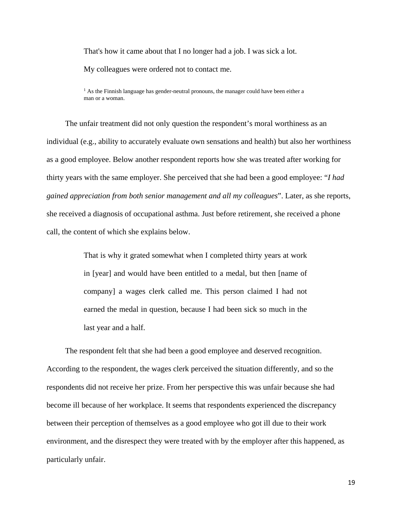That's how it came about that I no longer had a job. I was sick a lot.

My colleagues were ordered not to contact me.

 $<sup>1</sup>$  As the Finnish language has gender-neutral pronouns, the manager could have been either a</sup> man or a woman.

The unfair treatment did not only question the respondent's moral worthiness as an individual (e.g., ability to accurately evaluate own sensations and health) but also her worthiness as a good employee. Below another respondent reports how she was treated after working for thirty years with the same employer. She perceived that she had been a good employee: "*I had gained appreciation from both senior management and all my colleagues*". Later, as she reports, she received a diagnosis of occupational asthma. Just before retirement, she received a phone call, the content of which she explains below.

> That is why it grated somewhat when I completed thirty years at work in [year] and would have been entitled to a medal, but then [name of company] a wages clerk called me. This person claimed I had not earned the medal in question, because I had been sick so much in the last year and a half.

The respondent felt that she had been a good employee and deserved recognition. According to the respondent, the wages clerk perceived the situation differently, and so the respondents did not receive her prize. From her perspective this was unfair because she had become ill because of her workplace. It seems that respondents experienced the discrepancy between their perception of themselves as a good employee who got ill due to their work environment, and the disrespect they were treated with by the employer after this happened, as particularly unfair.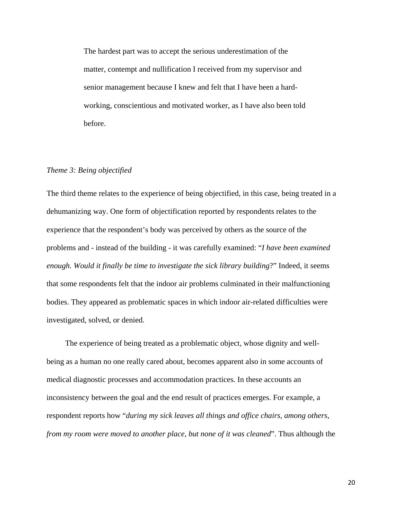The hardest part was to accept the serious underestimation of the matter, contempt and nullification I received from my supervisor and senior management because I knew and felt that I have been a hardworking, conscientious and motivated worker, as I have also been told before.

# *Theme 3: Being objectified*

The third theme relates to the experience of being objectified, in this case, being treated in a dehumanizing way. One form of objectification reported by respondents relates to the experience that the respondent's body was perceived by others as the source of the problems and - instead of the building - it was carefully examined: "*I have been examined enough. Would it finally be time to investigate the sick library building*?" Indeed, it seems that some respondents felt that the indoor air problems culminated in their malfunctioning bodies. They appeared as problematic spaces in which indoor air-related difficulties were investigated, solved, or denied.

The experience of being treated as a problematic object, whose dignity and wellbeing as a human no one really cared about, becomes apparent also in some accounts of medical diagnostic processes and accommodation practices. In these accounts an inconsistency between the goal and the end result of practices emerges. For example, a respondent reports how "*during my sick leaves all things and office chairs, among others, from my room were moved to another place, but none of it was cleaned*". Thus although the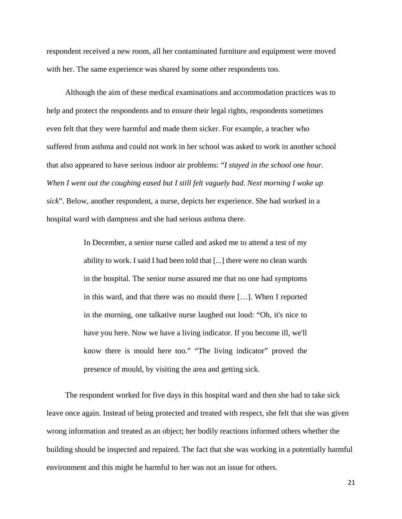respondent received a new room, all her contaminated furniture and equipment were moved with her. The same experience was shared by some other respondents too.

Although the aim of these medical examinations and accommodation practices was to help and protect the respondents and to ensure their legal rights, respondents sometimes even felt that they were harmful and made them sicker. For example, a teacher who suffered from asthma and could not work in her school was asked to work in another school that also appeared to have serious indoor air problems: "*I stayed in the school one hour. When I went out the coughing eased but I still felt vaguely bad. Next morning I woke up sick*". Below, another respondent, a nurse, depicts her experience. She had worked in a hospital ward with dampness and she had serious asthma there.

> In December, a senior nurse called and asked me to attend a test of my ability to work. I said I had been told that [...] there were no clean wards in the hospital. The senior nurse assured me that no one had symptoms in this ward, and that there was no mould there […]. When I reported in the morning, one talkative nurse laughed out loud: "Oh, it's nice to have you here. Now we have a living indicator. If you become ill, we'll know there is mould here too." "The living indicator" proved the presence of mould, by visiting the area and getting sick.

The respondent worked for five days in this hospital ward and then she had to take sick leave once again. Instead of being protected and treated with respect, she felt that she was given wrong information and treated as an object; her bodily reactions informed others whether the building should be inspected and repaired. The fact that she was working in a potentially harmful environment and this might be harmful to her was not an issue for others.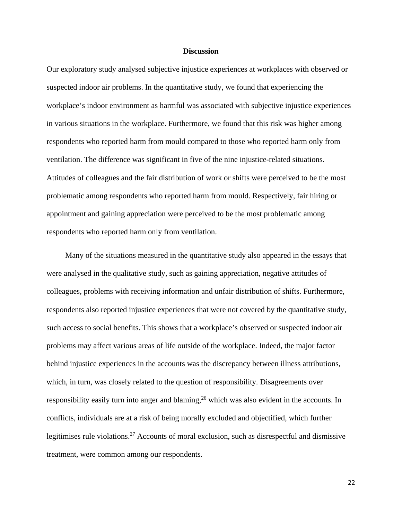# **Discussion**

Our exploratory study analysed subjective injustice experiences at workplaces with observed or suspected indoor air problems. In the quantitative study, we found that experiencing the workplace's indoor environment as harmful was associated with subjective injustice experiences in various situations in the workplace. Furthermore, we found that this risk was higher among respondents who reported harm from mould compared to those who reported harm only from ventilation. The difference was significant in five of the nine injustice-related situations. Attitudes of colleagues and the fair distribution of work or shifts were perceived to be the most problematic among respondents who reported harm from mould. Respectively, fair hiring or appointment and gaining appreciation were perceived to be the most problematic among respondents who reported harm only from ventilation.

Many of the situations measured in the quantitative study also appeared in the essays that were analysed in the qualitative study, such as gaining appreciation, negative attitudes of colleagues, problems with receiving information and unfair distribution of shifts. Furthermore, respondents also reported injustice experiences that were not covered by the quantitative study, such access to social benefits. This shows that a workplace's observed or suspected indoor air problems may affect various areas of life outside of the workplace. Indeed, the major factor behind injustice experiences in the accounts was the discrepancy between illness attributions, which, in turn, was closely related to the question of responsibility. Disagreements over responsibility easily turn into anger and blaming,<sup>26</sup> which was also evident in the accounts. In conflicts, individuals are at a risk of being morally excluded and objectified, which further legitimises rule violations.<sup>27</sup> Accounts of moral exclusion, such as disrespectful and dismissive treatment, were common among our respondents.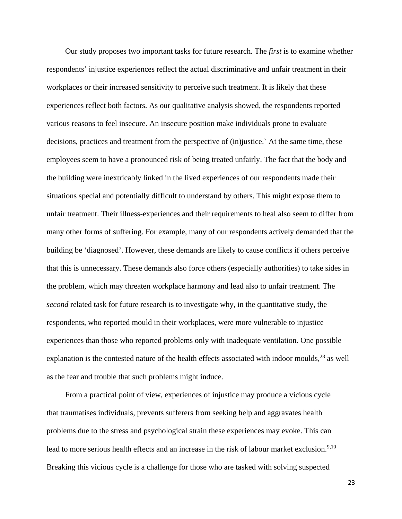Our study proposes two important tasks for future research. The *first* is to examine whether respondents' injustice experiences reflect the actual discriminative and unfair treatment in their workplaces or their increased sensitivity to perceive such treatment. It is likely that these experiences reflect both factors. As our qualitative analysis showed, the respondents reported various reasons to feel insecure. An insecure position make individuals prone to evaluate decisions, practices and treatment from the perspective of  $(in)$ justice.<sup>7</sup> At the same time, these employees seem to have a pronounced risk of being treated unfairly. The fact that the body and the building were inextricably linked in the lived experiences of our respondents made their situations special and potentially difficult to understand by others. This might expose them to unfair treatment. Their illness-experiences and their requirements to heal also seem to differ from many other forms of suffering. For example, many of our respondents actively demanded that the building be 'diagnosed'. However, these demands are likely to cause conflicts if others perceive that this is unnecessary. These demands also force others (especially authorities) to take sides in the problem, which may threaten workplace harmony and lead also to unfair treatment. The *second* related task for future research is to investigate why, in the quantitative study, the respondents, who reported mould in their workplaces, were more vulnerable to injustice experiences than those who reported problems only with inadequate ventilation. One possible explanation is the contested nature of the health effects associated with indoor moulds,<sup>28</sup> as well as the fear and trouble that such problems might induce.

From a practical point of view, experiences of injustice may produce a vicious cycle that traumatises individuals, prevents sufferers from seeking help and aggravates health problems due to the stress and psychological strain these experiences may evoke. This can lead to more serious health effects and an increase in the risk of labour market exclusion.<sup>9,10</sup> Breaking this vicious cycle is a challenge for those who are tasked with solving suspected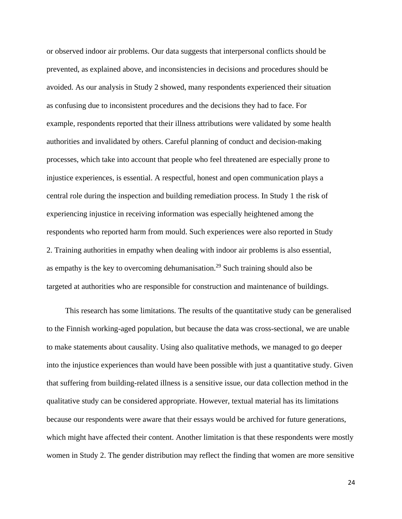or observed indoor air problems. Our data suggests that interpersonal conflicts should be prevented, as explained above, and inconsistencies in decisions and procedures should be avoided. As our analysis in Study 2 showed, many respondents experienced their situation as confusing due to inconsistent procedures and the decisions they had to face. For example, respondents reported that their illness attributions were validated by some health authorities and invalidated by others. Careful planning of conduct and decision-making processes, which take into account that people who feel threatened are especially prone to injustice experiences, is essential. A respectful, honest and open communication plays a central role during the inspection and building remediation process. In Study 1 the risk of experiencing injustice in receiving information was especially heightened among the respondents who reported harm from mould. Such experiences were also reported in Study 2. Training authorities in empathy when dealing with indoor air problems is also essential, as empathy is the key to overcoming dehumanisation.<sup>29</sup> Such training should also be targeted at authorities who are responsible for construction and maintenance of buildings.

This research has some limitations. The results of the quantitative study can be generalised to the Finnish working-aged population, but because the data was cross-sectional, we are unable to make statements about causality. Using also qualitative methods, we managed to go deeper into the injustice experiences than would have been possible with just a quantitative study. Given that suffering from building-related illness is a sensitive issue, our data collection method in the qualitative study can be considered appropriate. However, textual material has its limitations because our respondents were aware that their essays would be archived for future generations, which might have affected their content. Another limitation is that these respondents were mostly women in Study 2. The gender distribution may reflect the finding that women are more sensitive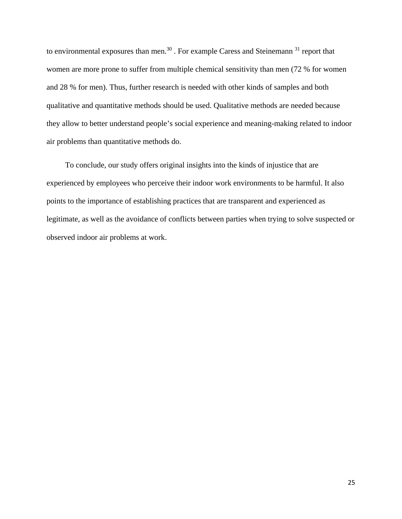to environmental exposures than men.<sup>30</sup> . For example Caress and Steinemann<sup>31</sup> report that women are more prone to suffer from multiple chemical sensitivity than men (72 % for women and 28 % for men). Thus, further research is needed with other kinds of samples and both qualitative and quantitative methods should be used. Qualitative methods are needed because they allow to better understand people's social experience and meaning-making related to indoor air problems than quantitative methods do.

To conclude, our study offers original insights into the kinds of injustice that are experienced by employees who perceive their indoor work environments to be harmful. It also points to the importance of establishing practices that are transparent and experienced as legitimate, as well as the avoidance of conflicts between parties when trying to solve suspected or observed indoor air problems at work.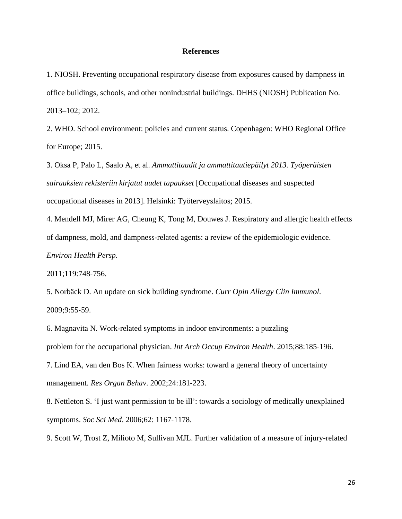#### **References**

1. NIOSH. Preventing occupational respiratory disease from exposures caused by dampness in office buildings, schools, and other nonindustrial buildings. DHHS (NIOSH) Publication No. 2013–102; 2012.

2. WHO. School environment: policies and current status. Copenhagen: WHO Regional Office for Europe; 2015.

3. Oksa P, Palo L, Saalo A, et al. *Ammattitaudit ja ammattitautiepäilyt 2013. Työperäisten sairauksien rekisteriin kirjatut uudet tapaukset* [Occupational diseases and suspected occupational diseases in 2013]. Helsinki: Työterveyslaitos; 2015.

4. Mendell MJ, Mirer AG, Cheung K, Tong M, Douwes J. Respiratory and allergic health effects of dampness, mold, and dampness-related agents: a review of the epidemiologic evidence. *Environ Health Persp*.

2011;119:748‐756.

5. Norbäck D. An update on sick building syndrome. *Curr Opin Allergy Clin Immunol*. 2009;9:55‐59.

6. Magnavita N. Work-related symptoms in indoor environments: a puzzling problem for the occupational physician. *Int Arch Occup Environ Health*. 2015;88:185‐196. 7. Lind EA, van den Bos K. When fairness works: toward a general theory of uncertainty management. *Res Organ Behav*. 2002;24:181‐223.

8. Nettleton S. 'I just want permission to be ill': towards a sociology of medically unexplained symptoms. *Soc Sci Med*. 2006;62: 1167‐1178.

9. Scott W, Trost Z, Milioto M, Sullivan MJL. Further validation of a measure of injury-related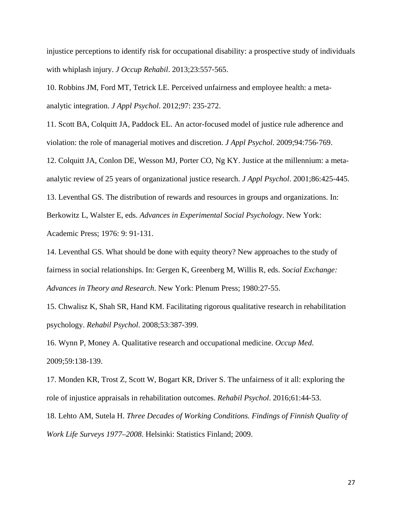injustice perceptions to identify risk for occupational disability: a prospective study of individuals with whiplash injury. *J Occup Rehabil*. 2013;23:557‐565.

10. Robbins JM, Ford MT, Tetrick LE. Perceived unfairness and employee health: a metaanalytic integration. *J Appl Psychol*. 2012;97: 235‐272.

11. Scott BA, Colquitt JA, Paddock EL. An actor-focused model of justice rule adherence and violation: the role of managerial motives and discretion. *J Appl Psychol*. 2009;94:756‐769.

12. Colquitt JA, Conlon DE, Wesson MJ, Porter CO, Ng KY. Justice at the millennium: a metaanalytic review of 25 years of organizational justice research. *J Appl Psychol*. 2001;86:425‐445.

13. Leventhal GS. The distribution of rewards and resources in groups and organizations. In: Berkowitz L, Walster E, eds. *Advances in Experimental Social Psychology*. New York: Academic Press; 1976: 9: 91‐131.

14. Leventhal GS. What should be done with equity theory? New approaches to the study of fairness in social relationships. In: Gergen K, Greenberg M, Willis R, eds. *Social Exchange: Advances in Theory and Research*. New York: Plenum Press; 1980:27‐55.

15. Chwalisz K, Shah SR, Hand KM. Facilitating rigorous qualitative research in rehabilitation psychology. *Rehabil Psychol*. 2008;53:387‐399.

16. Wynn P, Money A. Qualitative research and occupational medicine. *Occup Med*. 2009;59:138‐139.

17. Monden KR, Trost Z, Scott W, Bogart KR, Driver S. The unfairness of it all: exploring the role of injustice appraisals in rehabilitation outcomes. *Rehabil Psychol*. 2016;61:44‐53.

18. Lehto AM, Sutela H. *Three Decades of Working Conditions. Findings of Finnish Quality of Work Life Surveys 1977–2008*. Helsinki: Statistics Finland; 2009.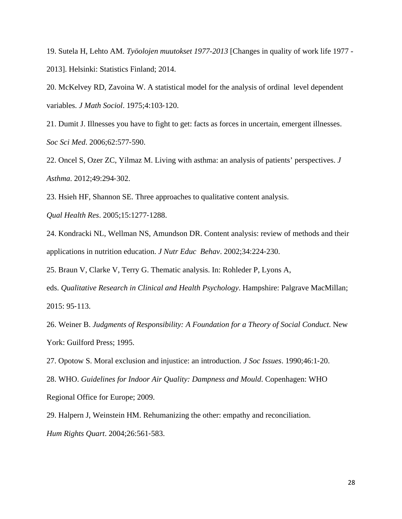19. Sutela H, Lehto AM. *Työolojen muutokset 1977-2013* [Changes in quality of work life 1977 - 2013]. Helsinki: Statistics Finland; 2014.

20. McKelvey RD, Zavoina W. A statistical model for the analysis of ordinal level dependent variables. *J Math Sociol*. 1975;4:103‐120.

21. Dumit J. Illnesses you have to fight to get: facts as forces in uncertain, emergent illnesses. *Soc Sci Med*. 2006;62:577‐590.

22. Oncel S, Ozer ZC, Yilmaz M. Living with asthma: an analysis of patients' perspectives. *J Asthma*. 2012;49:294‐302.

23. Hsieh HF, Shannon SE. Three approaches to qualitative content analysis.

*Qual Health Res*. 2005;15:1277‐1288.

24. Kondracki NL, Wellman NS, Amundson DR. Content analysis: review of methods and their applications in nutrition education. *J Nutr Educ Behav*. 2002;34:224‐230.

25. Braun V, Clarke V, Terry G. Thematic analysis. In: Rohleder P, Lyons A,

eds. *Qualitative Research in Clinical and Health Psychology*. Hampshire: Palgrave MacMillan; 2015: 95‐113.

26. Weiner B. *Judgments of Responsibility: A Foundation for a Theory of Social Conduct*. New York: Guilford Press; 1995.

27. Opotow S. Moral exclusion and injustice: an introduction. *J Soc Issues*. 1990;46:1‐20.

28. WHO. *Guidelines for Indoor Air Quality: Dampness and Mould*. Copenhagen: WHO Regional Office for Europe; 2009.

29. Halpern J, Weinstein HM. Rehumanizing the other: empathy and reconciliation. *Hum Rights Quart*. 2004;26:561‐583.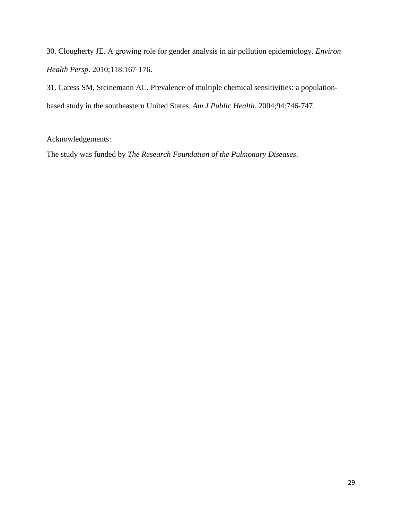30. Clougherty JE. A growing role for gender analysis in air pollution epidemiology. *Environ Health Persp*. 2010;118:167‐176.

31. Caress SM, Steinemann AC. Prevalence of multiple chemical sensitivities: a populationbased study in the southeastern United States. *Am J Public Health*. 2004;94:746‐747.

# Acknowledgements:

The study was funded by *The Research Foundation of the Pulmonary Diseases*.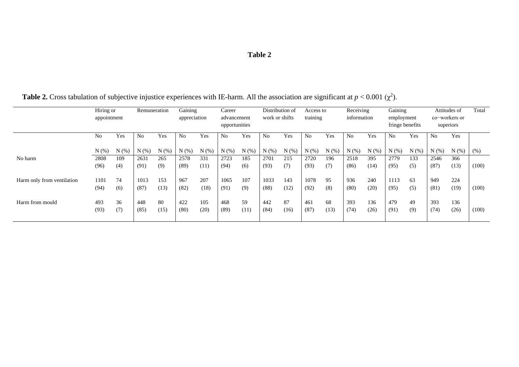# **Table 2**

|                            | Hiring or<br>appointment |       | Remuneration   |      | Gaining<br>appreciation |       | Career<br>advancement<br>opportunities |       | Distribution of<br>work or shifts |       | Access to<br>training |       | Receiving<br>information |      | Gaining<br>employment<br>fringe benefits |       | Attitudes of<br>co-workers or<br>superiors |       | Total |
|----------------------------|--------------------------|-------|----------------|------|-------------------------|-------|----------------------------------------|-------|-----------------------------------|-------|-----------------------|-------|--------------------------|------|------------------------------------------|-------|--------------------------------------------|-------|-------|
|                            |                          |       |                |      |                         |       |                                        |       |                                   |       |                       |       |                          |      |                                          |       |                                            |       |       |
|                            |                          |       |                |      |                         |       |                                        |       |                                   |       |                       |       |                          |      |                                          |       |                                            |       |       |
|                            | No                       | Yes   | N <sub>o</sub> | Yes  | No                      | Yes   | N <sub>0</sub>                         | Yes   | No                                | Yes   | N <sub>0</sub>        | Yes   | N <sub>0</sub>           | Yes  | N <sub>o</sub>                           | Yes   | N <sub>o</sub>                             | Yes   |       |
|                            | $N$ $(\%)$               | N(% ) | N(%            | N(%  | N(% )                   | N(% ) | N(% )                                  | N(% ) | $N(\%)$                           | N(% ) | N(% )                 | N(% ) | N(%                      | N(%  | $N(\%)$                                  | N(% ) | N(%                                        | N(% ) | (%)   |
| No harm                    | 2808                     | 109   | 2631           | 265  | 2578                    | 331   | 2723                                   | 185   | 2701                              | 215   | 2720                  | 196   | 2518                     | 395  | 2779                                     | 133   | 2546                                       | 366   |       |
|                            | (96)                     | (4)   | (91)           | (9)  | (89)                    | (11)  | (94)                                   | (6)   | (93)                              | (7)   | (93)                  | (7)   | (86)                     | (14) | (95)                                     | (5)   | (87)                                       | (13)  | (100) |
| Harm only from ventilation | 1101                     | 74    | 1013           | 153  | 967                     | 207   | 1065                                   | 107   | 1033                              | 143   | 1078                  | 95    | 936                      | 240  | 1113                                     | 63    | 949                                        | 224   |       |
|                            | (94)                     | (6)   | (87)           | (13) | (82)                    | (18)  | (91)                                   | (9)   | (88)                              | (12)  | (92)                  | (8)   | (80)                     | (20) | (95)                                     | (5)   | (81)                                       | (19)  | (100) |
| Harm from mould            | 493                      | 36    | 448            | 80   | 422                     | 105   | 468                                    | 59    | 442                               | 87    | 461                   | 68    | 393                      | 136  | 479                                      | 49    | 393                                        | 136   |       |
|                            | (93)                     | (7)   | (85)           | (15) | (80)                    | (20)  | (89)                                   | (11)  | (84)                              | (16)  | (87)                  | (13)  | (74)                     | (26) | (91)                                     | (9)   | (74)                                       | (26)  | (100) |
|                            |                          |       |                |      |                         |       |                                        |       |                                   |       |                       |       |                          |      |                                          |       |                                            |       |       |

**Table 2.** Cross tabulation of subjective injustice experiences with IE-harm. All the association are significant at  $p < 0.001$  ( $\chi^2$ ).